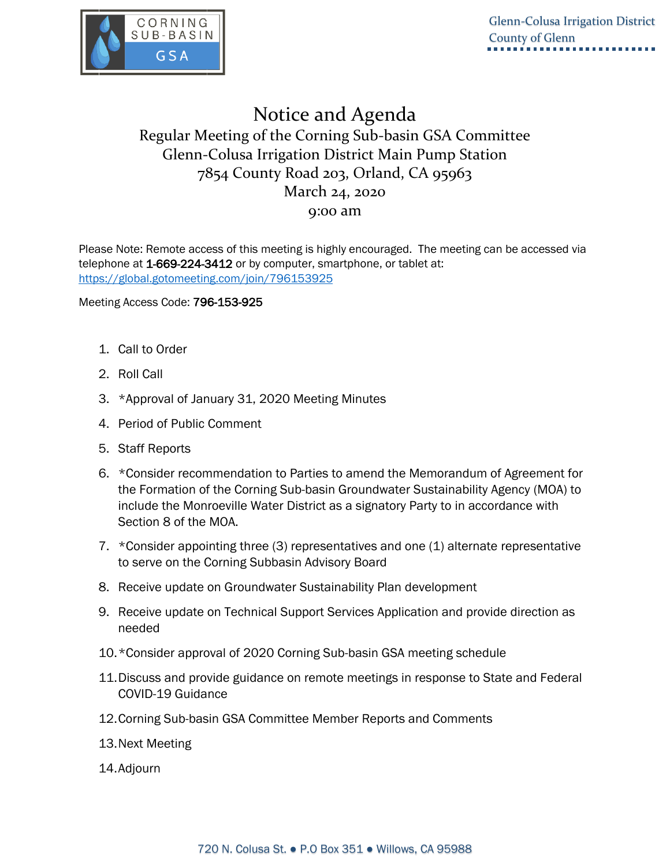

## Notice and Agenda Regular Meeting of the Corning Sub-basin GSA Committee Glenn-Colusa Irrigation District Main Pump Station 7854 County Road 203, Orland, CA 95963 March 24, 2020 9:00 am

Please Note: Remote access of this meeting is highly encouraged. The meeting can be accessed via telephone at 1-669-224-3412 or by computer, smartphone, or tablet at: <https://global.gotomeeting.com/join/796153925>

Meeting Access Code: 796-153-925

- 1. Call to Order
- 2. Roll Call
- 3. \*Approval of January 31, 2020 Meeting Minutes
- 4. Period of Public Comment
- 5. Staff Reports
- 6. \*Consider recommendation to Parties to amend the Memorandum of Agreement for the Formation of the Corning Sub-basin Groundwater Sustainability Agency (MOA) to include the Monroeville Water District as a signatory Party to in accordance with Section 8 of the MOA.
- 7. \*Consider appointing three (3) representatives and one (1) alternate representative to serve on the Corning Subbasin Advisory Board
- 8. Receive update on Groundwater Sustainability Plan development
- 9. Receive update on Technical Support Services Application and provide direction as needed
- 10.\*Consider approval of 2020 Corning Sub-basin GSA meeting schedule
- 11.Discuss and provide guidance on remote meetings in response to State and Federal COVID-19 Guidance
- 12.Corning Sub-basin GSA Committee Member Reports and Comments
- 13.Next Meeting
- 14.Adjourn